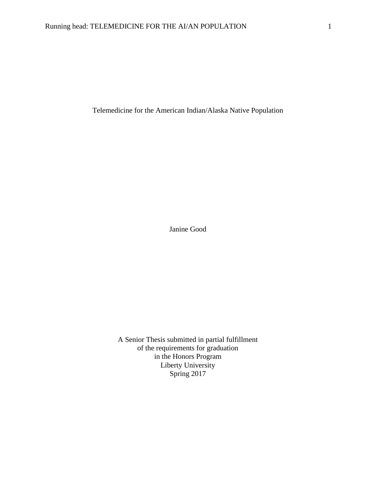Telemedicine for the American Indian/Alaska Native Population

Janine Good

A Senior Thesis submitted in partial fulfillment of the requirements for graduation in the Honors Program Liberty University Spring 2017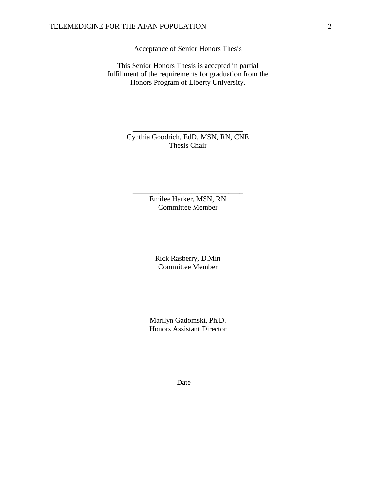Acceptance of Senior Honors Thesis

This Senior Honors Thesis is accepted in partial fulfillment of the requirements for graduation from the Honors Program of Liberty University.

> Cynthia Goodrich, EdD, MSN, RN, CNE Thesis Chair

\_\_\_\_\_\_\_\_\_\_\_\_\_\_\_\_\_\_\_\_\_\_\_\_\_\_\_\_\_\_

Emilee Harker, MSN, RN Committee Member

\_\_\_\_\_\_\_\_\_\_\_\_\_\_\_\_\_\_\_\_\_\_\_\_\_\_\_\_\_\_

Rick Rasberry, D.Min Committee Member

\_\_\_\_\_\_\_\_\_\_\_\_\_\_\_\_\_\_\_\_\_\_\_\_\_\_\_\_\_\_

Marilyn Gadomski, Ph.D. Honors Assistant Director

\_\_\_\_\_\_\_\_\_\_\_\_\_\_\_\_\_\_\_\_\_\_\_\_\_\_\_\_\_\_

Date

\_\_\_\_\_\_\_\_\_\_\_\_\_\_\_\_\_\_\_\_\_\_\_\_\_\_\_\_\_\_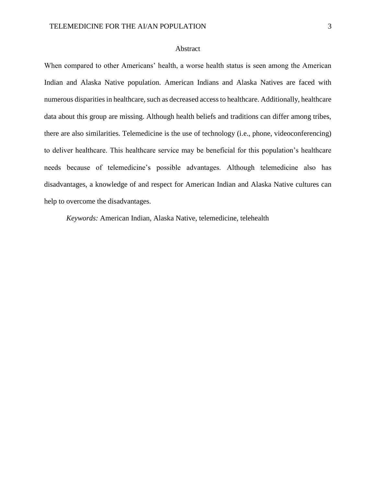# Abstract

When compared to other Americans' health, a worse health status is seen among the American Indian and Alaska Native population. American Indians and Alaska Natives are faced with numerous disparities in healthcare, such as decreased access to healthcare. Additionally, healthcare data about this group are missing. Although health beliefs and traditions can differ among tribes, there are also similarities. Telemedicine is the use of technology (i.e., phone, videoconferencing) to deliver healthcare. This healthcare service may be beneficial for this population's healthcare needs because of telemedicine's possible advantages. Although telemedicine also has disadvantages, a knowledge of and respect for American Indian and Alaska Native cultures can help to overcome the disadvantages.

*Keywords:* American Indian, Alaska Native, telemedicine, telehealth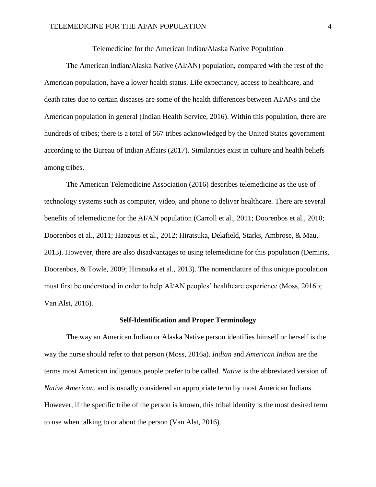Telemedicine for the American Indian/Alaska Native Population

The American Indian/Alaska Native (AI/AN) population, compared with the rest of the American population, have a lower health status. Life expectancy, access to healthcare, and death rates due to certain diseases are some of the health differences between AI/ANs and the American population in general (Indian Health Service, 2016). Within this population, there are hundreds of tribes; there is a total of 567 tribes acknowledged by the United States government according to the Bureau of Indian Affairs (2017). Similarities exist in culture and health beliefs among tribes.

The American Telemedicine Association (2016) describes telemedicine as the use of technology systems such as computer, video, and phone to deliver healthcare. There are several benefits of telemedicine for the AI/AN population (Carroll et al., 2011; Doorenbos et al., 2010; Doorenbos et al., 2011; Haozous et al., 2012; Hiratsuka, Delafield, Starks, Ambrose, & Mau, 2013). However, there are also disadvantages to using telemedicine for this population (Demiris, Doorenbos, & Towle, 2009; Hiratsuka et al., 2013). The nomenclature of this unique population must first be understood in order to help AI/AN peoples' healthcare experience (Moss, 2016b; Van Alst, 2016).

## **Self-Identification and Proper Terminology**

The way an American Indian or Alaska Native person identifies himself or herself is the way the nurse should refer to that person (Moss, 2016a). *Indian* and *American Indian* are the terms most American indigenous people prefer to be called. *Native* is the abbreviated version of *Native American,* and is usually considered an appropriate term by most American Indians. However, if the specific tribe of the person is known, this tribal identity is the most desired term to use when talking to or about the person (Van Alst, 2016).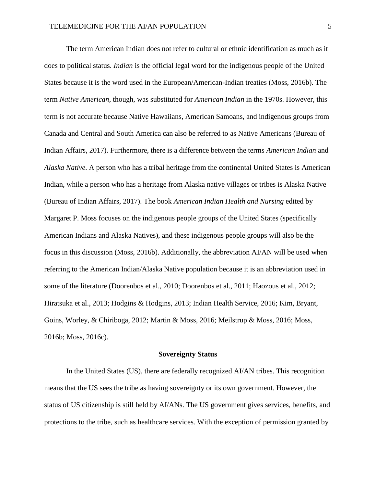The term American Indian does not refer to cultural or ethnic identification as much as it does to political status. *Indian* is the official legal word for the indigenous people of the United States because it is the word used in the European/American-Indian treaties (Moss, 2016b). The term *Native American,* though, was substituted for *American Indian* in the 1970s. However, this term is not accurate because Native Hawaiians, American Samoans, and indigenous groups from Canada and Central and South America can also be referred to as Native Americans (Bureau of Indian Affairs, 2017). Furthermore, there is a difference between the terms *American Indian* and *Alaska Native*. A person who has a tribal heritage from the continental United States is American Indian, while a person who has a heritage from Alaska native villages or tribes is Alaska Native (Bureau of Indian Affairs, 2017). The book *American Indian Health and Nursing* edited by Margaret P. Moss focuses on the indigenous people groups of the United States (specifically American Indians and Alaska Natives), and these indigenous people groups will also be the focus in this discussion (Moss, 2016b). Additionally, the abbreviation AI/AN will be used when referring to the American Indian/Alaska Native population because it is an abbreviation used in some of the literature (Doorenbos et al., 2010; Doorenbos et al., 2011; Haozous et al., 2012; Hiratsuka et al., 2013; Hodgins & Hodgins, 2013; Indian Health Service, 2016; Kim, Bryant, Goins, Worley, & Chiriboga, 2012; Martin & Moss, 2016; Meilstrup & Moss, 2016; Moss, 2016b; Moss, 2016c).

#### **Sovereignty Status**

In the United States (US), there are federally recognized AI/AN tribes. This recognition means that the US sees the tribe as having sovereignty or its own government. However, the status of US citizenship is still held by AI/ANs. The US government gives services, benefits, and protections to the tribe, such as healthcare services. With the exception of permission granted by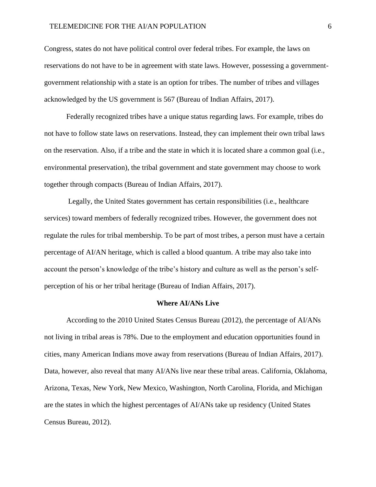# TELEMEDICINE FOR THE AI/AN POPULATION 6

Congress, states do not have political control over federal tribes. For example, the laws on reservations do not have to be in agreement with state laws. However, possessing a governmentgovernment relationship with a state is an option for tribes. The number of tribes and villages acknowledged by the US government is 567 (Bureau of Indian Affairs, 2017).

Federally recognized tribes have a unique status regarding laws. For example, tribes do not have to follow state laws on reservations. Instead, they can implement their own tribal laws on the reservation. Also, if a tribe and the state in which it is located share a common goal (i.e., environmental preservation), the tribal government and state government may choose to work together through compacts (Bureau of Indian Affairs, 2017).

Legally, the United States government has certain responsibilities (i.e., healthcare services) toward members of federally recognized tribes. However, the government does not regulate the rules for tribal membership. To be part of most tribes, a person must have a certain percentage of AI/AN heritage, which is called a blood quantum. A tribe may also take into account the person's knowledge of the tribe's history and culture as well as the person's selfperception of his or her tribal heritage (Bureau of Indian Affairs, 2017).

#### **Where AI/ANs Live**

According to the 2010 United States Census Bureau (2012), the percentage of AI/ANs not living in tribal areas is 78%. Due to the employment and education opportunities found in cities, many American Indians move away from reservations (Bureau of Indian Affairs, 2017). Data, however, also reveal that many AI/ANs live near these tribal areas. California, Oklahoma, Arizona, Texas, New York, New Mexico, Washington, North Carolina, Florida, and Michigan are the states in which the highest percentages of AI/ANs take up residency (United States Census Bureau, 2012).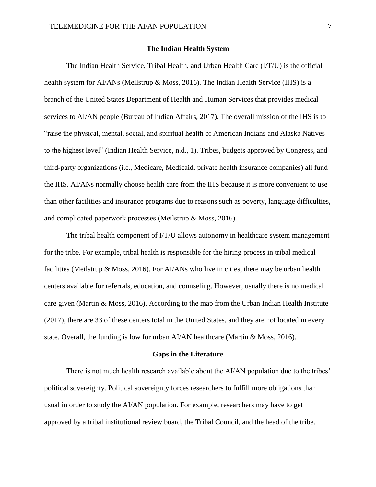# **The Indian Health System**

The Indian Health Service, Tribal Health, and Urban Health Care (I/T/U) is the official health system for AI/ANs (Meilstrup & Moss, 2016). The Indian Health Service (IHS) is a branch of the United States Department of Health and Human Services that provides medical services to AI/AN people (Bureau of Indian Affairs, 2017). The overall mission of the IHS is to "raise the physical, mental, social, and spiritual health of American Indians and Alaska Natives to the highest level" (Indian Health Service, n.d., 1). Tribes, budgets approved by Congress, and third-party organizations (i.e., Medicare, Medicaid, private health insurance companies) all fund the IHS. AI/ANs normally choose health care from the IHS because it is more convenient to use than other facilities and insurance programs due to reasons such as poverty, language difficulties, and complicated paperwork processes (Meilstrup & Moss, 2016).

The tribal health component of I/T/U allows autonomy in healthcare system management for the tribe. For example, tribal health is responsible for the hiring process in tribal medical facilities (Meilstrup & Moss, 2016). For AI/ANs who live in cities, there may be urban health centers available for referrals, education, and counseling. However, usually there is no medical care given (Martin & Moss, 2016). According to the map from the Urban Indian Health Institute (2017), there are 33 of these centers total in the United States, and they are not located in every state. Overall, the funding is low for urban AI/AN healthcare (Martin & Moss, 2016).

#### **Gaps in the Literature**

There is not much health research available about the AI/AN population due to the tribes' political sovereignty. Political sovereignty forces researchers to fulfill more obligations than usual in order to study the AI/AN population. For example, researchers may have to get approved by a tribal institutional review board, the Tribal Council, and the head of the tribe.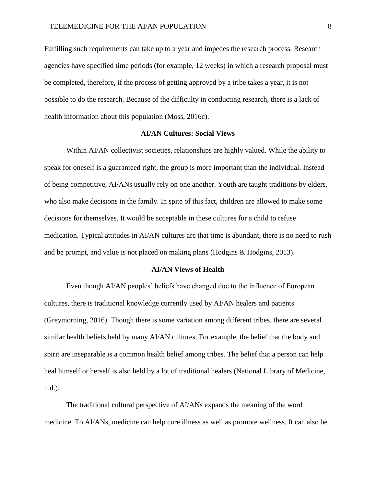Fulfilling such requirements can take up to a year and impedes the research process. Research agencies have specified time periods (for example, 12 weeks) in which a research proposal must be completed, therefore, if the process of getting approved by a tribe takes a year, it is not possible to do the research. Because of the difficulty in conducting research, there is a lack of health information about this population (Moss, 2016c).

### **AI/AN Cultures: Social Views**

Within AI/AN collectivist societies, relationships are highly valued. While the ability to speak for oneself is a guaranteed right, the group is more important than the individual. Instead of being competitive, AI/ANs usually rely on one another. Youth are taught traditions by elders, who also make decisions in the family. In spite of this fact, children are allowed to make some decisions for themselves. It would be acceptable in these cultures for a child to refuse medication. Typical attitudes in AI/AN cultures are that time is abundant, there is no need to rush and be prompt, and value is not placed on making plans (Hodgins & Hodgins, 2013).

#### **AI/AN Views of Health**

Even though AI/AN peoples' beliefs have changed due to the influence of European cultures, there is traditional knowledge currently used by AI/AN healers and patients (Greymorning, 2016). Though there is some variation among different tribes, there are several similar health beliefs held by many AI/AN cultures. For example, the belief that the body and spirit are inseparable is a common health belief among tribes. The belief that a person can help heal himself or herself is also held by a lot of traditional healers (National Library of Medicine, n.d.).

The traditional cultural perspective of AI/ANs expands the meaning of the word medicine. To AI/ANs, medicine can help cure illness as well as promote wellness. It can also be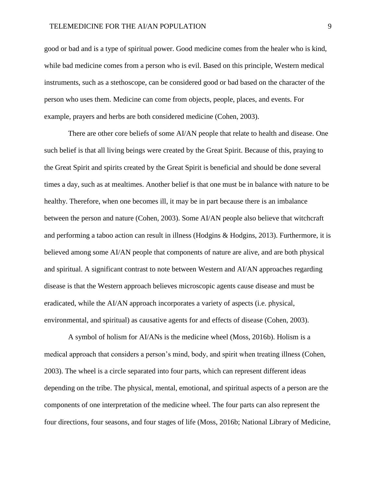## TELEMEDICINE FOR THE AI/AN POPULATION 9

good or bad and is a type of spiritual power. Good medicine comes from the healer who is kind, while bad medicine comes from a person who is evil. Based on this principle, Western medical instruments, such as a stethoscope, can be considered good or bad based on the character of the person who uses them. Medicine can come from objects, people, places, and events. For example, prayers and herbs are both considered medicine (Cohen, 2003).

There are other core beliefs of some AI/AN people that relate to health and disease. One such belief is that all living beings were created by the Great Spirit. Because of this, praying to the Great Spirit and spirits created by the Great Spirit is beneficial and should be done several times a day, such as at mealtimes. Another belief is that one must be in balance with nature to be healthy. Therefore, when one becomes ill, it may be in part because there is an imbalance between the person and nature (Cohen, 2003). Some AI/AN people also believe that witchcraft and performing a taboo action can result in illness (Hodgins & Hodgins, 2013). Furthermore, it is believed among some AI/AN people that components of nature are alive, and are both physical and spiritual. A significant contrast to note between Western and AI/AN approaches regarding disease is that the Western approach believes microscopic agents cause disease and must be eradicated, while the AI/AN approach incorporates a variety of aspects (i.e. physical, environmental, and spiritual) as causative agents for and effects of disease (Cohen, 2003).

A symbol of holism for AI/ANs is the medicine wheel (Moss, 2016b). Holism is a medical approach that considers a person's mind, body, and spirit when treating illness (Cohen, 2003). The wheel is a circle separated into four parts, which can represent different ideas depending on the tribe. The physical, mental, emotional, and spiritual aspects of a person are the components of one interpretation of the medicine wheel. The four parts can also represent the four directions, four seasons, and four stages of life (Moss, 2016b; National Library of Medicine,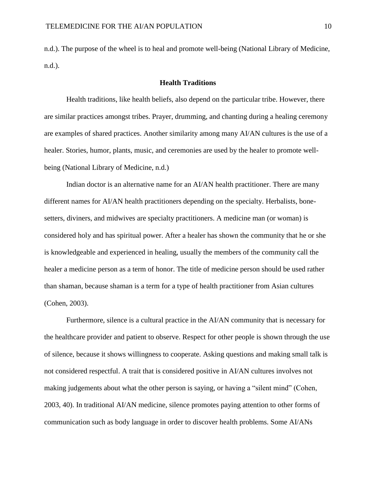n.d.). The purpose of the wheel is to heal and promote well-being (National Library of Medicine, n.d.).

#### **Health Traditions**

Health traditions, like health beliefs, also depend on the particular tribe. However, there are similar practices amongst tribes. Prayer, drumming, and chanting during a healing ceremony are examples of shared practices. Another similarity among many AI/AN cultures is the use of a healer. Stories, humor, plants, music, and ceremonies are used by the healer to promote wellbeing (National Library of Medicine, n.d.)

Indian doctor is an alternative name for an AI/AN health practitioner. There are many different names for AI/AN health practitioners depending on the specialty. Herbalists, bonesetters, diviners, and midwives are specialty practitioners. A medicine man (or woman) is considered holy and has spiritual power. After a healer has shown the community that he or she is knowledgeable and experienced in healing, usually the members of the community call the healer a medicine person as a term of honor. The title of medicine person should be used rather than shaman, because shaman is a term for a type of health practitioner from Asian cultures (Cohen, 2003).

Furthermore, silence is a cultural practice in the AI/AN community that is necessary for the healthcare provider and patient to observe. Respect for other people is shown through the use of silence, because it shows willingness to cooperate. Asking questions and making small talk is not considered respectful. A trait that is considered positive in AI/AN cultures involves not making judgements about what the other person is saying, or having a "silent mind" (Cohen, 2003, 40). In traditional AI/AN medicine, silence promotes paying attention to other forms of communication such as body language in order to discover health problems. Some AI/ANs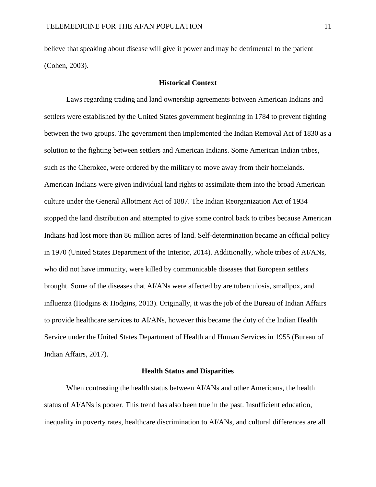believe that speaking about disease will give it power and may be detrimental to the patient (Cohen, 2003).

#### **Historical Context**

Laws regarding trading and land ownership agreements between American Indians and settlers were established by the United States government beginning in 1784 to prevent fighting between the two groups. The government then implemented the Indian Removal Act of 1830 as a solution to the fighting between settlers and American Indians. Some American Indian tribes, such as the Cherokee, were ordered by the military to move away from their homelands. American Indians were given individual land rights to assimilate them into the broad American culture under the General Allotment Act of 1887. The Indian Reorganization Act of 1934 stopped the land distribution and attempted to give some control back to tribes because American Indians had lost more than 86 million acres of land. Self-determination became an official policy in 1970 (United States Department of the Interior, 2014). Additionally, whole tribes of AI/ANs, who did not have immunity, were killed by communicable diseases that European settlers brought. Some of the diseases that AI/ANs were affected by are tuberculosis, smallpox, and influenza (Hodgins & Hodgins, 2013). Originally, it was the job of the Bureau of Indian Affairs to provide healthcare services to AI/ANs, however this became the duty of the Indian Health Service under the United States Department of Health and Human Services in 1955 (Bureau of Indian Affairs, 2017).

#### **Health Status and Disparities**

When contrasting the health status between AI/ANs and other Americans, the health status of AI/ANs is poorer. This trend has also been true in the past. Insufficient education, inequality in poverty rates, healthcare discrimination to AI/ANs, and cultural differences are all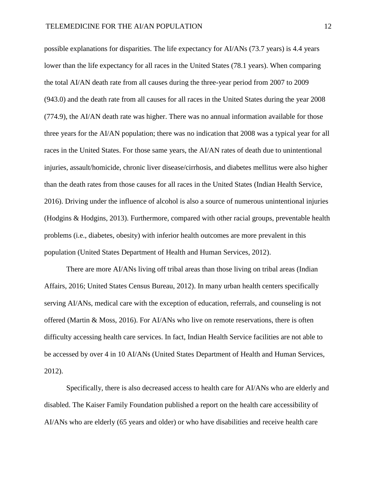possible explanations for disparities. The life expectancy for AI/ANs (73.7 years) is 4.4 years lower than the life expectancy for all races in the United States (78.1 years). When comparing the total AI/AN death rate from all causes during the three-year period from 2007 to 2009 (943.0) and the death rate from all causes for all races in the United States during the year 2008 (774.9), the AI/AN death rate was higher. There was no annual information available for those three years for the AI/AN population; there was no indication that 2008 was a typical year for all races in the United States. For those same years, the AI/AN rates of death due to unintentional injuries, assault/homicide, chronic liver disease/cirrhosis, and diabetes mellitus were also higher than the death rates from those causes for all races in the United States (Indian Health Service, 2016). Driving under the influence of alcohol is also a source of numerous unintentional injuries (Hodgins & Hodgins, 2013). Furthermore, compared with other racial groups, preventable health problems (i.e., diabetes, obesity) with inferior health outcomes are more prevalent in this population (United States Department of Health and Human Services, 2012).

There are more AI/ANs living off tribal areas than those living on tribal areas (Indian Affairs, 2016; United States Census Bureau, 2012). In many urban health centers specifically serving AI/ANs, medical care with the exception of education, referrals, and counseling is not offered (Martin & Moss, 2016). For AI/ANs who live on remote reservations, there is often difficulty accessing health care services. In fact, Indian Health Service facilities are not able to be accessed by over 4 in 10 AI/ANs (United States Department of Health and Human Services, 2012).

Specifically, there is also decreased access to health care for AI/ANs who are elderly and disabled. The Kaiser Family Foundation published a report on the health care accessibility of AI/ANs who are elderly (65 years and older) or who have disabilities and receive health care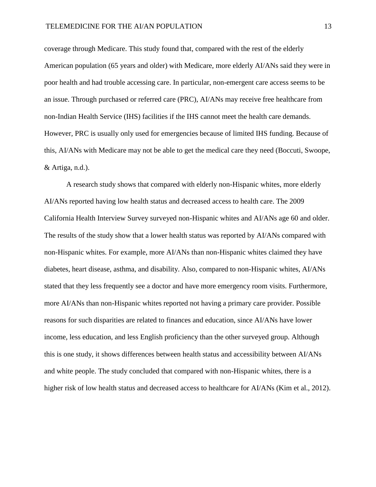coverage through Medicare. This study found that, compared with the rest of the elderly American population (65 years and older) with Medicare, more elderly AI/ANs said they were in poor health and had trouble accessing care. In particular, non-emergent care access seems to be an issue. Through purchased or referred care (PRC), AI/ANs may receive free healthcare from non-Indian Health Service (IHS) facilities if the IHS cannot meet the health care demands. However, PRC is usually only used for emergencies because of limited IHS funding. Because of this, AI/ANs with Medicare may not be able to get the medical care they need (Boccuti, Swoope, & Artiga, n.d.).

A research study shows that compared with elderly non-Hispanic whites, more elderly AI/ANs reported having low health status and decreased access to health care. The 2009 California Health Interview Survey surveyed non-Hispanic whites and AI/ANs age 60 and older. The results of the study show that a lower health status was reported by AI/ANs compared with non-Hispanic whites. For example, more AI/ANs than non-Hispanic whites claimed they have diabetes, heart disease, asthma, and disability. Also, compared to non-Hispanic whites, AI/ANs stated that they less frequently see a doctor and have more emergency room visits. Furthermore, more AI/ANs than non-Hispanic whites reported not having a primary care provider. Possible reasons for such disparities are related to finances and education, since AI/ANs have lower income, less education, and less English proficiency than the other surveyed group. Although this is one study, it shows differences between health status and accessibility between AI/ANs and white people. The study concluded that compared with non-Hispanic whites, there is a higher risk of low health status and decreased access to healthcare for AI/ANs (Kim et al., 2012).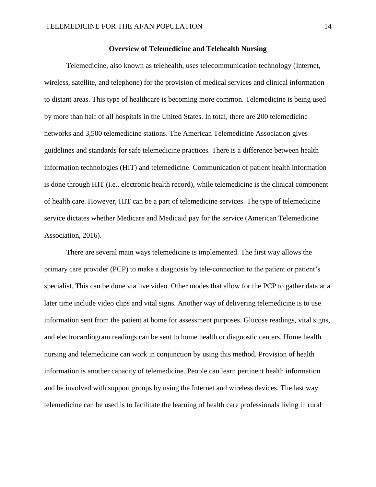# **Overview of Telemedicine and Telehealth Nursing**

Telemedicine, also known as telehealth, uses telecommunication technology (Internet, wireless, satellite, and telephone) for the provision of medical services and clinical information to distant areas. This type of healthcare is becoming more common. Telemedicine is being used by more than half of all hospitals in the United States. In total, there are 200 telemedicine networks and 3,500 telemedicine stations. The American Telemedicine Association gives guidelines and standards for safe telemedicine practices. There is a difference between health information technologies (HIT) and telemedicine. Communication of patient health information is done through HIT (i.e., electronic health record), while telemedicine is the clinical component of health care. However, HIT can be a part of telemedicine services. The type of telemedicine service dictates whether Medicare and Medicaid pay for the service (American Telemedicine Association, 2016).

There are several main ways telemedicine is implemented. The first way allows the primary care provider (PCP) to make a diagnosis by tele-connection to the patient or patient's specialist. This can be done via live video. Other modes that allow for the PCP to gather data at a later time include video clips and vital signs. Another way of delivering telemedicine is to use information sent from the patient at home for assessment purposes. Glucose readings, vital signs, and electrocardiogram readings can be sent to home health or diagnostic centers. Home health nursing and telemedicine can work in conjunction by using this method. Provision of health information is another capacity of telemedicine. People can learn pertinent health information and be involved with support groups by using the Internet and wireless devices. The last way telemedicine can be used is to facilitate the learning of health care professionals living in rural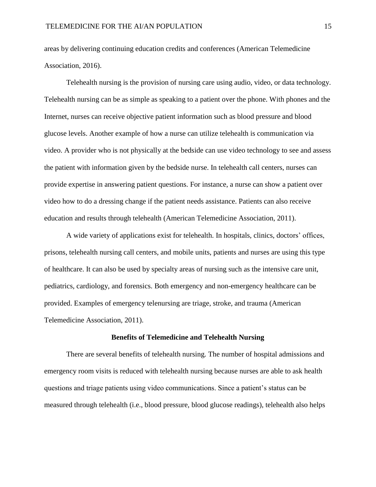areas by delivering continuing education credits and conferences (American Telemedicine Association, 2016).

Telehealth nursing is the provision of nursing care using audio, video, or data technology. Telehealth nursing can be as simple as speaking to a patient over the phone. With phones and the Internet, nurses can receive objective patient information such as blood pressure and blood glucose levels. Another example of how a nurse can utilize telehealth is communication via video. A provider who is not physically at the bedside can use video technology to see and assess the patient with information given by the bedside nurse. In telehealth call centers, nurses can provide expertise in answering patient questions. For instance, a nurse can show a patient over video how to do a dressing change if the patient needs assistance. Patients can also receive education and results through telehealth (American Telemedicine Association, 2011).

A wide variety of applications exist for telehealth. In hospitals, clinics, doctors' offices, prisons, telehealth nursing call centers, and mobile units, patients and nurses are using this type of healthcare. It can also be used by specialty areas of nursing such as the intensive care unit, pediatrics, cardiology, and forensics. Both emergency and non-emergency healthcare can be provided. Examples of emergency telenursing are triage, stroke, and trauma (American Telemedicine Association, 2011).

#### **Benefits of Telemedicine and Telehealth Nursing**

There are several benefits of telehealth nursing. The number of hospital admissions and emergency room visits is reduced with telehealth nursing because nurses are able to ask health questions and triage patients using video communications. Since a patient's status can be measured through telehealth (i.e., blood pressure, blood glucose readings), telehealth also helps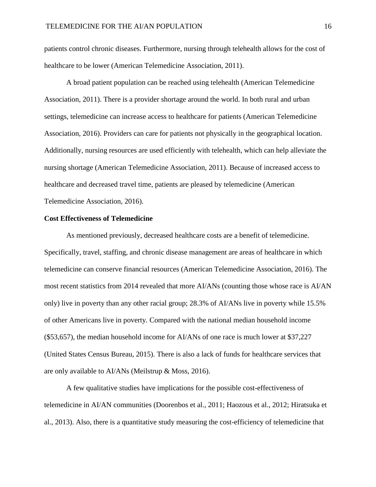patients control chronic diseases. Furthermore, nursing through telehealth allows for the cost of healthcare to be lower (American Telemedicine Association, 2011).

A broad patient population can be reached using telehealth (American Telemedicine Association, 2011). There is a provider shortage around the world. In both rural and urban settings, telemedicine can increase access to healthcare for patients (American Telemedicine Association, 2016). Providers can care for patients not physically in the geographical location. Additionally, nursing resources are used efficiently with telehealth, which can help alleviate the nursing shortage (American Telemedicine Association, 2011). Because of increased access to healthcare and decreased travel time, patients are pleased by telemedicine (American Telemedicine Association, 2016).

# **Cost Effectiveness of Telemedicine**

As mentioned previously, decreased healthcare costs are a benefit of telemedicine. Specifically, travel, staffing, and chronic disease management are areas of healthcare in which telemedicine can conserve financial resources (American Telemedicine Association, 2016). The most recent statistics from 2014 revealed that more AI/ANs (counting those whose race is AI/AN only) live in poverty than any other racial group; 28.3% of AI/ANs live in poverty while 15.5% of other Americans live in poverty. Compared with the national median household income (\$53,657), the median household income for AI/ANs of one race is much lower at \$37,227 (United States Census Bureau, 2015). There is also a lack of funds for healthcare services that are only available to AI/ANs (Meilstrup & Moss, 2016).

A few qualitative studies have implications for the possible cost-effectiveness of telemedicine in AI/AN communities (Doorenbos et al., 2011; Haozous et al., 2012; Hiratsuka et al., 2013). Also, there is a quantitative study measuring the cost-efficiency of telemedicine that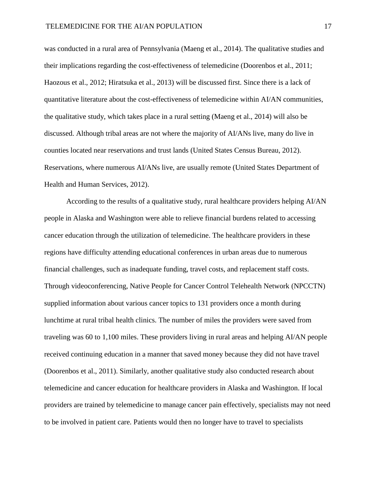was conducted in a rural area of Pennsylvania (Maeng et al., 2014). The qualitative studies and their implications regarding the cost-effectiveness of telemedicine (Doorenbos et al., 2011; Haozous et al., 2012; Hiratsuka et al., 2013) will be discussed first. Since there is a lack of quantitative literature about the cost-effectiveness of telemedicine within AI/AN communities, the qualitative study, which takes place in a rural setting (Maeng et al., 2014) will also be discussed. Although tribal areas are not where the majority of AI/ANs live, many do live in counties located near reservations and trust lands (United States Census Bureau, 2012). Reservations, where numerous AI/ANs live, are usually remote (United States Department of Health and Human Services, 2012).

According to the results of a qualitative study, rural healthcare providers helping AI/AN people in Alaska and Washington were able to relieve financial burdens related to accessing cancer education through the utilization of telemedicine. The healthcare providers in these regions have difficulty attending educational conferences in urban areas due to numerous financial challenges, such as inadequate funding, travel costs, and replacement staff costs. Through videoconferencing, Native People for Cancer Control Telehealth Network (NPCCTN) supplied information about various cancer topics to 131 providers once a month during lunchtime at rural tribal health clinics. The number of miles the providers were saved from traveling was 60 to 1,100 miles. These providers living in rural areas and helping AI/AN people received continuing education in a manner that saved money because they did not have travel (Doorenbos et al., 2011). Similarly, another qualitative study also conducted research about telemedicine and cancer education for healthcare providers in Alaska and Washington. If local providers are trained by telemedicine to manage cancer pain effectively, specialists may not need to be involved in patient care. Patients would then no longer have to travel to specialists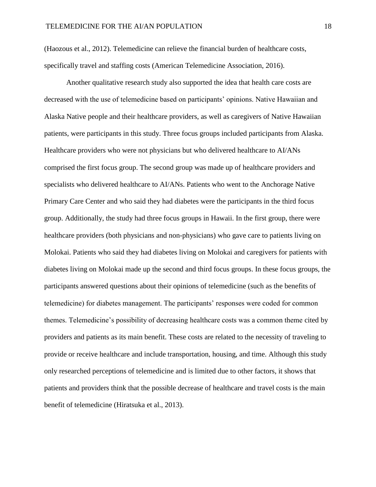(Haozous et al., 2012). Telemedicine can relieve the financial burden of healthcare costs, specifically travel and staffing costs (American Telemedicine Association, 2016).

Another qualitative research study also supported the idea that health care costs are decreased with the use of telemedicine based on participants' opinions. Native Hawaiian and Alaska Native people and their healthcare providers, as well as caregivers of Native Hawaiian patients, were participants in this study. Three focus groups included participants from Alaska. Healthcare providers who were not physicians but who delivered healthcare to AI/ANs comprised the first focus group. The second group was made up of healthcare providers and specialists who delivered healthcare to AI/ANs. Patients who went to the Anchorage Native Primary Care Center and who said they had diabetes were the participants in the third focus group. Additionally, the study had three focus groups in Hawaii. In the first group, there were healthcare providers (both physicians and non-physicians) who gave care to patients living on Molokai. Patients who said they had diabetes living on Molokai and caregivers for patients with diabetes living on Molokai made up the second and third focus groups. In these focus groups, the participants answered questions about their opinions of telemedicine (such as the benefits of telemedicine) for diabetes management. The participants' responses were coded for common themes. Telemedicine's possibility of decreasing healthcare costs was a common theme cited by providers and patients as its main benefit. These costs are related to the necessity of traveling to provide or receive healthcare and include transportation, housing, and time. Although this study only researched perceptions of telemedicine and is limited due to other factors, it shows that patients and providers think that the possible decrease of healthcare and travel costs is the main benefit of telemedicine (Hiratsuka et al., 2013).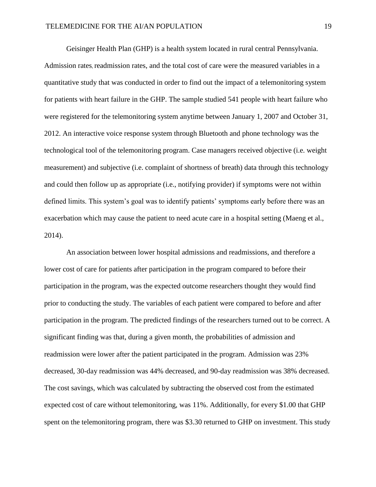Geisinger Health Plan (GHP) is a health system located in rural central Pennsylvania. Admission rates, readmission rates, and the total cost of care were the measured variables in a quantitative study that was conducted in order to find out the impact of a telemonitoring system for patients with heart failure in the GHP. The sample studied 541 people with heart failure who were registered for the telemonitoring system anytime between January 1, 2007 and October 31, 2012. An interactive voice response system through Bluetooth and phone technology was the technological tool of the telemonitoring program. Case managers received objective (i.e. weight measurement) and subjective (i.e. complaint of shortness of breath) data through this technology and could then follow up as appropriate (i.e., notifying provider) if symptoms were not within defined limits. This system's goal was to identify patients' symptoms early before there was an exacerbation which may cause the patient to need acute care in a hospital setting (Maeng et al., 2014).

An association between lower hospital admissions and readmissions, and therefore a lower cost of care for patients after participation in the program compared to before their participation in the program, was the expected outcome researchers thought they would find prior to conducting the study. The variables of each patient were compared to before and after participation in the program. The predicted findings of the researchers turned out to be correct. A significant finding was that, during a given month, the probabilities of admission and readmission were lower after the patient participated in the program. Admission was 23% decreased, 30-day readmission was 44% decreased, and 90-day readmission was 38% decreased. The cost savings, which was calculated by subtracting the observed cost from the estimated expected cost of care without telemonitoring, was 11%. Additionally, for every \$1.00 that GHP spent on the telemonitoring program, there was \$3.30 returned to GHP on investment. This study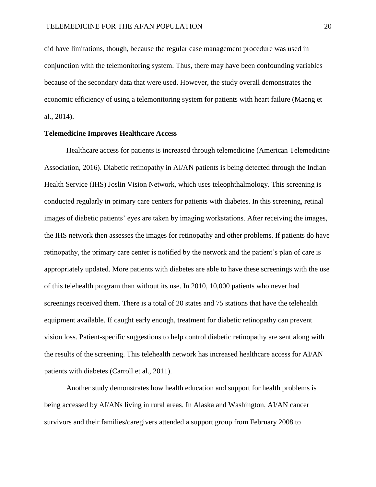did have limitations, though, because the regular case management procedure was used in conjunction with the telemonitoring system. Thus, there may have been confounding variables because of the secondary data that were used. However, the study overall demonstrates the economic efficiency of using a telemonitoring system for patients with heart failure (Maeng et al., 2014).

# **Telemedicine Improves Healthcare Access**

Healthcare access for patients is increased through telemedicine (American Telemedicine Association, 2016). Diabetic retinopathy in AI/AN patients is being detected through the Indian Health Service (IHS) Joslin Vision Network, which uses teleophthalmology. This screening is conducted regularly in primary care centers for patients with diabetes. In this screening, retinal images of diabetic patients' eyes are taken by imaging workstations. After receiving the images, the IHS network then assesses the images for retinopathy and other problems. If patients do have retinopathy, the primary care center is notified by the network and the patient's plan of care is appropriately updated. More patients with diabetes are able to have these screenings with the use of this telehealth program than without its use. In 2010, 10,000 patients who never had screenings received them. There is a total of 20 states and 75 stations that have the telehealth equipment available. If caught early enough, treatment for diabetic retinopathy can prevent vision loss. Patient-specific suggestions to help control diabetic retinopathy are sent along with the results of the screening. This telehealth network has increased healthcare access for AI/AN patients with diabetes (Carroll et al., 2011).

Another study demonstrates how health education and support for health problems is being accessed by AI/ANs living in rural areas. In Alaska and Washington, AI/AN cancer survivors and their families/caregivers attended a support group from February 2008 to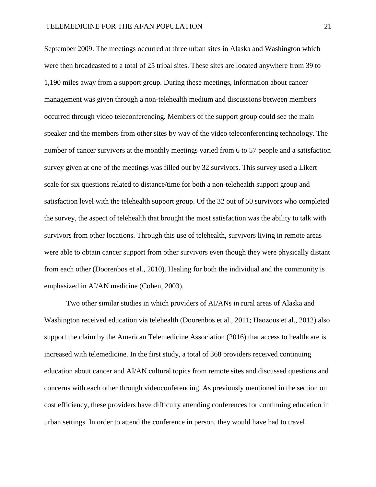September 2009. The meetings occurred at three urban sites in Alaska and Washington which were then broadcasted to a total of 25 tribal sites. These sites are located anywhere from 39 to 1,190 miles away from a support group. During these meetings, information about cancer management was given through a non-telehealth medium and discussions between members occurred through video teleconferencing. Members of the support group could see the main speaker and the members from other sites by way of the video teleconferencing technology. The number of cancer survivors at the monthly meetings varied from 6 to 57 people and a satisfaction survey given at one of the meetings was filled out by 32 survivors. This survey used a Likert scale for six questions related to distance/time for both a non-telehealth support group and satisfaction level with the telehealth support group. Of the 32 out of 50 survivors who completed the survey, the aspect of telehealth that brought the most satisfaction was the ability to talk with survivors from other locations. Through this use of telehealth, survivors living in remote areas were able to obtain cancer support from other survivors even though they were physically distant from each other (Doorenbos et al., 2010). Healing for both the individual and the community is emphasized in AI/AN medicine (Cohen, 2003).

Two other similar studies in which providers of AI/ANs in rural areas of Alaska and Washington received education via telehealth (Doorenbos et al., 2011; Haozous et al., 2012) also support the claim by the American Telemedicine Association (2016) that access to healthcare is increased with telemedicine. In the first study, a total of 368 providers received continuing education about cancer and AI/AN cultural topics from remote sites and discussed questions and concerns with each other through videoconferencing. As previously mentioned in the section on cost efficiency, these providers have difficulty attending conferences for continuing education in urban settings. In order to attend the conference in person, they would have had to travel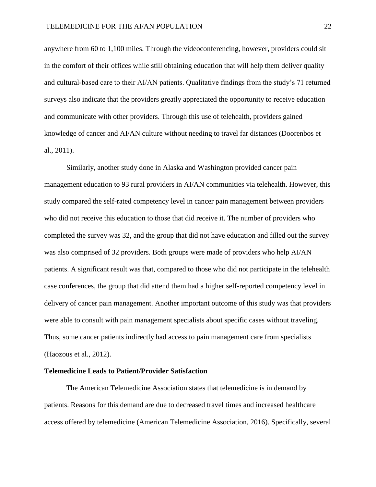anywhere from 60 to 1,100 miles. Through the videoconferencing, however, providers could sit in the comfort of their offices while still obtaining education that will help them deliver quality and cultural-based care to their AI/AN patients. Qualitative findings from the study's 71 returned surveys also indicate that the providers greatly appreciated the opportunity to receive education and communicate with other providers. Through this use of telehealth, providers gained knowledge of cancer and AI/AN culture without needing to travel far distances (Doorenbos et al., 2011).

Similarly, another study done in Alaska and Washington provided cancer pain management education to 93 rural providers in AI/AN communities via telehealth. However, this study compared the self-rated competency level in cancer pain management between providers who did not receive this education to those that did receive it. The number of providers who completed the survey was 32, and the group that did not have education and filled out the survey was also comprised of 32 providers. Both groups were made of providers who help AI/AN patients. A significant result was that, compared to those who did not participate in the telehealth case conferences, the group that did attend them had a higher self-reported competency level in delivery of cancer pain management. Another important outcome of this study was that providers were able to consult with pain management specialists about specific cases without traveling. Thus, some cancer patients indirectly had access to pain management care from specialists (Haozous et al., 2012).

# **Telemedicine Leads to Patient/Provider Satisfaction**

The American Telemedicine Association states that telemedicine is in demand by patients. Reasons for this demand are due to decreased travel times and increased healthcare access offered by telemedicine (American Telemedicine Association, 2016). Specifically, several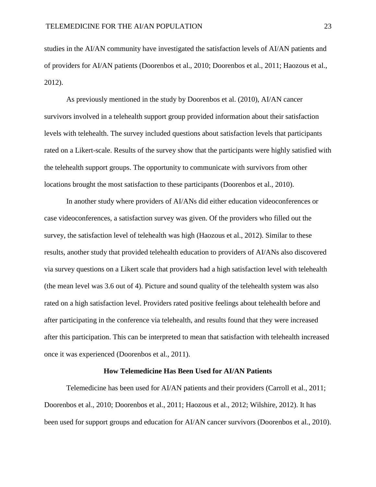studies in the AI/AN community have investigated the satisfaction levels of AI/AN patients and of providers for AI/AN patients (Doorenbos et al., 2010; Doorenbos et al., 2011; Haozous et al., 2012).

As previously mentioned in the study by Doorenbos et al. (2010), AI/AN cancer survivors involved in a telehealth support group provided information about their satisfaction levels with telehealth. The survey included questions about satisfaction levels that participants rated on a Likert-scale. Results of the survey show that the participants were highly satisfied with the telehealth support groups. The opportunity to communicate with survivors from other locations brought the most satisfaction to these participants (Doorenbos et al., 2010).

In another study where providers of AI/ANs did either education videoconferences or case videoconferences, a satisfaction survey was given. Of the providers who filled out the survey, the satisfaction level of telehealth was high (Haozous et al., 2012). Similar to these results, another study that provided telehealth education to providers of AI/ANs also discovered via survey questions on a Likert scale that providers had a high satisfaction level with telehealth (the mean level was 3.6 out of 4). Picture and sound quality of the telehealth system was also rated on a high satisfaction level. Providers rated positive feelings about telehealth before and after participating in the conference via telehealth, and results found that they were increased after this participation. This can be interpreted to mean that satisfaction with telehealth increased once it was experienced (Doorenbos et al., 2011).

# **How Telemedicine Has Been Used for AI/AN Patients**

Telemedicine has been used for AI/AN patients and their providers (Carroll et al., 2011; Doorenbos et al., 2010; Doorenbos et al., 2011; Haozous et al., 2012; Wilshire, 2012). It has been used for support groups and education for AI/AN cancer survivors (Doorenbos et al., 2010).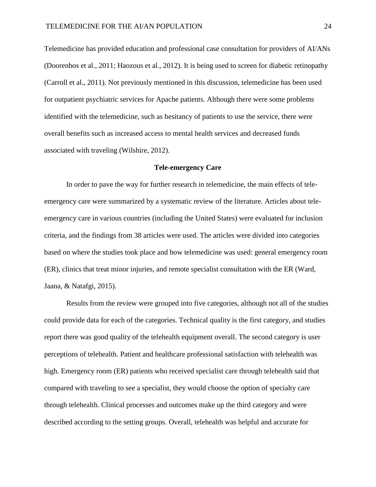Telemedicine has provided education and professional case consultation for providers of AI/ANs (Doorenbos et al., 2011; Haozous et al., 2012). It is being used to screen for diabetic retinopathy (Carroll et al., 2011). Not previously mentioned in this discussion, telemedicine has been used for outpatient psychiatric services for Apache patients. Although there were some problems identified with the telemedicine, such as hesitancy of patients to use the service, there were overall benefits such as increased access to mental health services and decreased funds associated with traveling (Wilshire, 2012).

### **Tele-emergency Care**

In order to pave the way for further research in telemedicine, the main effects of teleemergency care were summarized by a systematic review of the literature. Articles about teleemergency care in various countries (including the United States) were evaluated for inclusion criteria, and the findings from 38 articles were used. The articles were divided into categories based on where the studies took place and how telemedicine was used: general emergency room (ER), clinics that treat minor injuries, and remote specialist consultation with the ER (Ward, Jaana, & Natafgi, 2015).

Results from the review were grouped into five categories, although not all of the studies could provide data for each of the categories. Technical quality is the first category, and studies report there was good quality of the telehealth equipment overall. The second category is user perceptions of telehealth. Patient and healthcare professional satisfaction with telehealth was high. Emergency room (ER) patients who received specialist care through telehealth said that compared with traveling to see a specialist, they would choose the option of specialty care through telehealth. Clinical processes and outcomes make up the third category and were described according to the setting groups. Overall, telehealth was helpful and accurate for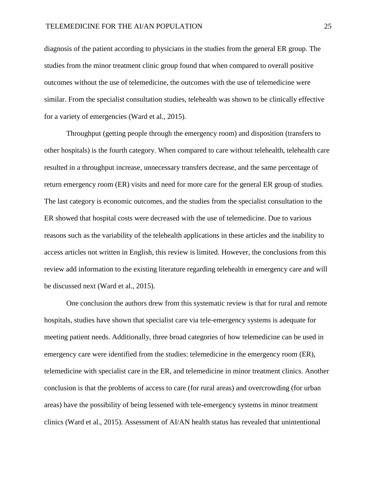diagnosis of the patient according to physicians in the studies from the general ER group. The studies from the minor treatment clinic group found that when compared to overall positive outcomes without the use of telemedicine, the outcomes with the use of telemedicine were similar. From the specialist consultation studies, telehealth was shown to be clinically effective for a variety of emergencies (Ward et al., 2015).

Throughput (getting people through the emergency room) and disposition (transfers to other hospitals) is the fourth category. When compared to care without telehealth, telehealth care resulted in a throughput increase, unnecessary transfers decrease, and the same percentage of return emergency room (ER) visits and need for more care for the general ER group of studies. The last category is economic outcomes, and the studies from the specialist consultation to the ER showed that hospital costs were decreased with the use of telemedicine. Due to various reasons such as the variability of the telehealth applications in these articles and the inability to access articles not written in English, this review is limited. However, the conclusions from this review add information to the existing literature regarding telehealth in emergency care and will be discussed next (Ward et al., 2015).

One conclusion the authors drew from this systematic review is that for rural and remote hospitals, studies have shown that specialist care via tele-emergency systems is adequate for meeting patient needs. Additionally, three broad categories of how telemedicine can be used in emergency care were identified from the studies: telemedicine in the emergency room (ER), telemedicine with specialist care in the ER, and telemedicine in minor treatment clinics. Another conclusion is that the problems of access to care (for rural areas) and overcrowding (for urban areas) have the possibility of being lessened with tele-emergency systems in minor treatment clinics (Ward et al., 2015). Assessment of AI/AN health status has revealed that unintentional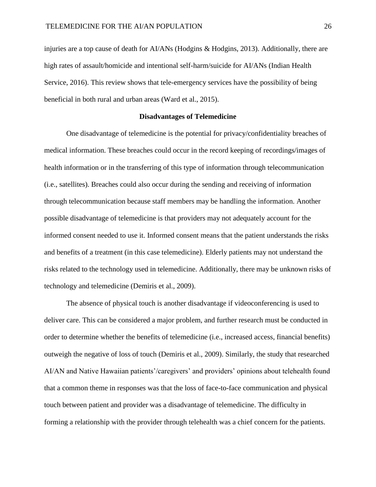injuries are a top cause of death for AI/ANs (Hodgins & Hodgins, 2013). Additionally, there are high rates of assault/homicide and intentional self-harm/suicide for AI/ANs (Indian Health Service, 2016). This review shows that tele-emergency services have the possibility of being beneficial in both rural and urban areas (Ward et al., 2015).

### **Disadvantages of Telemedicine**

One disadvantage of telemedicine is the potential for privacy/confidentiality breaches of medical information. These breaches could occur in the record keeping of recordings/images of health information or in the transferring of this type of information through telecommunication (i.e., satellites). Breaches could also occur during the sending and receiving of information through telecommunication because staff members may be handling the information. Another possible disadvantage of telemedicine is that providers may not adequately account for the informed consent needed to use it. Informed consent means that the patient understands the risks and benefits of a treatment (in this case telemedicine). Elderly patients may not understand the risks related to the technology used in telemedicine. Additionally, there may be unknown risks of technology and telemedicine (Demiris et al., 2009).

The absence of physical touch is another disadvantage if videoconferencing is used to deliver care. This can be considered a major problem, and further research must be conducted in order to determine whether the benefits of telemedicine (i.e., increased access, financial benefits) outweigh the negative of loss of touch (Demiris et al., 2009). Similarly, the study that researched AI/AN and Native Hawaiian patients'/caregivers' and providers' opinions about telehealth found that a common theme in responses was that the loss of face-to-face communication and physical touch between patient and provider was a disadvantage of telemedicine. The difficulty in forming a relationship with the provider through telehealth was a chief concern for the patients.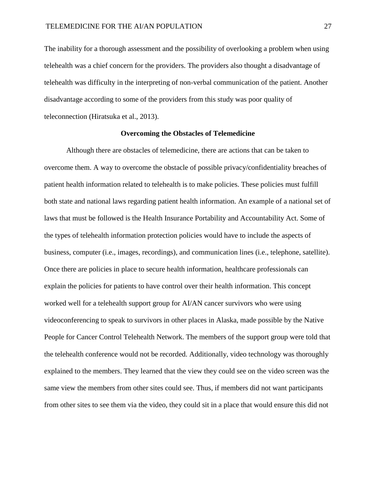The inability for a thorough assessment and the possibility of overlooking a problem when using telehealth was a chief concern for the providers. The providers also thought a disadvantage of telehealth was difficulty in the interpreting of non-verbal communication of the patient. Another disadvantage according to some of the providers from this study was poor quality of teleconnection (Hiratsuka et al., 2013).

### **Overcoming the Obstacles of Telemedicine**

Although there are obstacles of telemedicine, there are actions that can be taken to overcome them. A way to overcome the obstacle of possible privacy/confidentiality breaches of patient health information related to telehealth is to make policies. These policies must fulfill both state and national laws regarding patient health information. An example of a national set of laws that must be followed is the Health Insurance Portability and Accountability Act. Some of the types of telehealth information protection policies would have to include the aspects of business, computer (i.e., images, recordings), and communication lines (i.e., telephone, satellite). Once there are policies in place to secure health information, healthcare professionals can explain the policies for patients to have control over their health information. This concept worked well for a telehealth support group for AI/AN cancer survivors who were using videoconferencing to speak to survivors in other places in Alaska, made possible by the Native People for Cancer Control Telehealth Network. The members of the support group were told that the telehealth conference would not be recorded. Additionally, video technology was thoroughly explained to the members. They learned that the view they could see on the video screen was the same view the members from other sites could see. Thus, if members did not want participants from other sites to see them via the video, they could sit in a place that would ensure this did not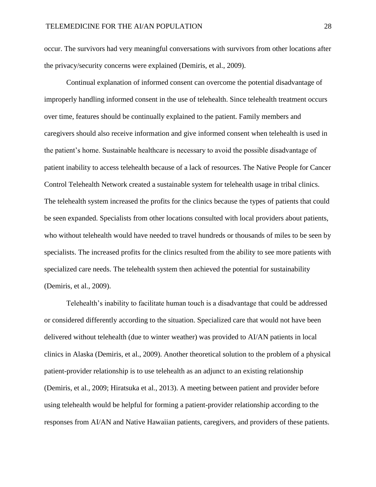occur. The survivors had very meaningful conversations with survivors from other locations after the privacy/security concerns were explained (Demiris, et al., 2009).

Continual explanation of informed consent can overcome the potential disadvantage of improperly handling informed consent in the use of telehealth. Since telehealth treatment occurs over time, features should be continually explained to the patient. Family members and caregivers should also receive information and give informed consent when telehealth is used in the patient's home. Sustainable healthcare is necessary to avoid the possible disadvantage of patient inability to access telehealth because of a lack of resources. The Native People for Cancer Control Telehealth Network created a sustainable system for telehealth usage in tribal clinics. The telehealth system increased the profits for the clinics because the types of patients that could be seen expanded. Specialists from other locations consulted with local providers about patients, who without telehealth would have needed to travel hundreds or thousands of miles to be seen by specialists. The increased profits for the clinics resulted from the ability to see more patients with specialized care needs. The telehealth system then achieved the potential for sustainability (Demiris, et al., 2009).

Telehealth's inability to facilitate human touch is a disadvantage that could be addressed or considered differently according to the situation. Specialized care that would not have been delivered without telehealth (due to winter weather) was provided to AI/AN patients in local clinics in Alaska (Demiris, et al., 2009). Another theoretical solution to the problem of a physical patient-provider relationship is to use telehealth as an adjunct to an existing relationship (Demiris, et al., 2009; Hiratsuka et al., 2013). A meeting between patient and provider before using telehealth would be helpful for forming a patient-provider relationship according to the responses from AI/AN and Native Hawaiian patients, caregivers, and providers of these patients.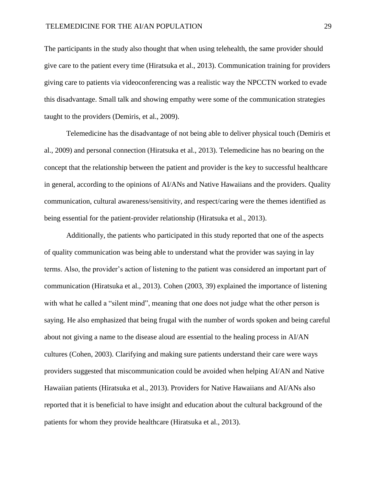The participants in the study also thought that when using telehealth, the same provider should give care to the patient every time (Hiratsuka et al., 2013). Communication training for providers giving care to patients via videoconferencing was a realistic way the NPCCTN worked to evade this disadvantage. Small talk and showing empathy were some of the communication strategies taught to the providers (Demiris, et al., 2009).

Telemedicine has the disadvantage of not being able to deliver physical touch (Demiris et al., 2009) and personal connection (Hiratsuka et al., 2013). Telemedicine has no bearing on the concept that the relationship between the patient and provider is the key to successful healthcare in general, according to the opinions of AI/ANs and Native Hawaiians and the providers. Quality communication, cultural awareness/sensitivity, and respect/caring were the themes identified as being essential for the patient-provider relationship (Hiratsuka et al., 2013).

Additionally, the patients who participated in this study reported that one of the aspects of quality communication was being able to understand what the provider was saying in lay terms. Also, the provider's action of listening to the patient was considered an important part of communication (Hiratsuka et al., 2013). Cohen (2003, 39) explained the importance of listening with what he called a "silent mind", meaning that one does not judge what the other person is saying. He also emphasized that being frugal with the number of words spoken and being careful about not giving a name to the disease aloud are essential to the healing process in AI/AN cultures (Cohen, 2003). Clarifying and making sure patients understand their care were ways providers suggested that miscommunication could be avoided when helping AI/AN and Native Hawaiian patients (Hiratsuka et al., 2013). Providers for Native Hawaiians and AI/ANs also reported that it is beneficial to have insight and education about the cultural background of the patients for whom they provide healthcare (Hiratsuka et al., 2013).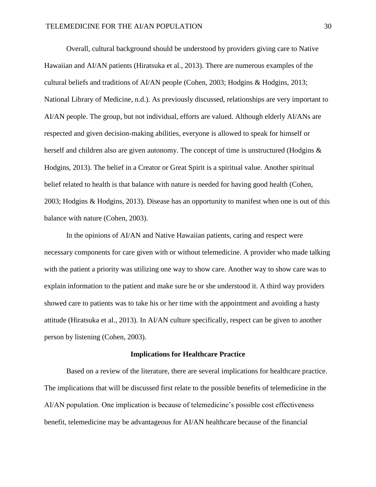Overall, cultural background should be understood by providers giving care to Native Hawaiian and AI/AN patients (Hiratsuka et al., 2013). There are numerous examples of the cultural beliefs and traditions of AI/AN people (Cohen, 2003; Hodgins & Hodgins, 2013; National Library of Medicine, n.d.). As previously discussed, relationships are very important to AI/AN people. The group, but not individual, efforts are valued. Although elderly AI/ANs are respected and given decision-making abilities, everyone is allowed to speak for himself or herself and children also are given autonomy. The concept of time is unstructured (Hodgins & Hodgins, 2013). The belief in a Creator or Great Spirit is a spiritual value. Another spiritual belief related to health is that balance with nature is needed for having good health (Cohen, 2003; Hodgins & Hodgins, 2013). Disease has an opportunity to manifest when one is out of this balance with nature (Cohen, 2003).

In the opinions of AI/AN and Native Hawaiian patients, caring and respect were necessary components for care given with or without telemedicine. A provider who made talking with the patient a priority was utilizing one way to show care. Another way to show care was to explain information to the patient and make sure he or she understood it. A third way providers showed care to patients was to take his or her time with the appointment and avoiding a hasty attitude (Hiratsuka et al., 2013). In AI/AN culture specifically, respect can be given to another person by listening (Cohen, 2003).

#### **Implications for Healthcare Practice**

Based on a review of the literature, there are several implications for healthcare practice. The implications that will be discussed first relate to the possible benefits of telemedicine in the AI/AN population. One implication is because of telemedicine's possible cost effectiveness benefit, telemedicine may be advantageous for AI/AN healthcare because of the financial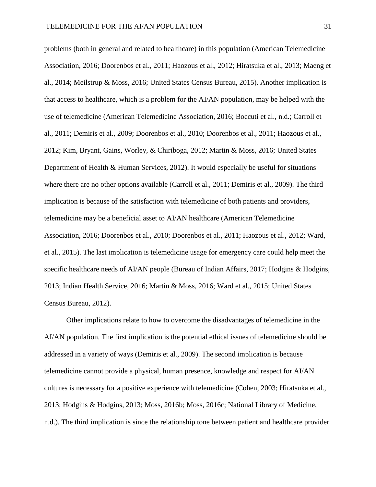problems (both in general and related to healthcare) in this population (American Telemedicine Association, 2016; Doorenbos et al., 2011; Haozous et al., 2012; Hiratsuka et al., 2013; Maeng et al., 2014; Meilstrup & Moss, 2016; United States Census Bureau, 2015). Another implication is that access to healthcare, which is a problem for the AI/AN population, may be helped with the use of telemedicine (American Telemedicine Association, 2016; Boccuti et al., n.d.; Carroll et al., 2011; Demiris et al., 2009; Doorenbos et al., 2010; Doorenbos et al., 2011; Haozous et al., 2012; Kim, Bryant, Gains, Worley, & Chiriboga, 2012; Martin & Moss, 2016; United States Department of Health & Human Services, 2012). It would especially be useful for situations where there are no other options available (Carroll et al., 2011; Demiris et al., 2009). The third implication is because of the satisfaction with telemedicine of both patients and providers, telemedicine may be a beneficial asset to AI/AN healthcare (American Telemedicine Association, 2016; Doorenbos et al., 2010; Doorenbos et al., 2011; Haozous et al., 2012; Ward, et al., 2015). The last implication is telemedicine usage for emergency care could help meet the specific healthcare needs of AI/AN people (Bureau of Indian Affairs, 2017; Hodgins & Hodgins, 2013; Indian Health Service, 2016; Martin & Moss, 2016; Ward et al., 2015; United States Census Bureau, 2012).

Other implications relate to how to overcome the disadvantages of telemedicine in the AI/AN population. The first implication is the potential ethical issues of telemedicine should be addressed in a variety of ways (Demiris et al., 2009). The second implication is because telemedicine cannot provide a physical, human presence, knowledge and respect for AI/AN cultures is necessary for a positive experience with telemedicine (Cohen, 2003; Hiratsuka et al., 2013; Hodgins & Hodgins, 2013; Moss, 2016b; Moss, 2016c; National Library of Medicine, n.d.). The third implication is since the relationship tone between patient and healthcare provider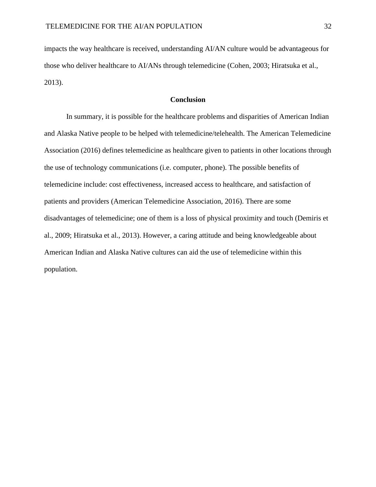impacts the way healthcare is received, understanding AI/AN culture would be advantageous for those who deliver healthcare to AI/ANs through telemedicine (Cohen, 2003; Hiratsuka et al., 2013).

# **Conclusion**

In summary, it is possible for the healthcare problems and disparities of American Indian and Alaska Native people to be helped with telemedicine/telehealth. The American Telemedicine Association (2016) defines telemedicine as healthcare given to patients in other locations through the use of technology communications (i.e. computer, phone). The possible benefits of telemedicine include: cost effectiveness, increased access to healthcare, and satisfaction of patients and providers (American Telemedicine Association, 2016). There are some disadvantages of telemedicine; one of them is a loss of physical proximity and touch (Demiris et al., 2009; Hiratsuka et al., 2013). However, a caring attitude and being knowledgeable about American Indian and Alaska Native cultures can aid the use of telemedicine within this population.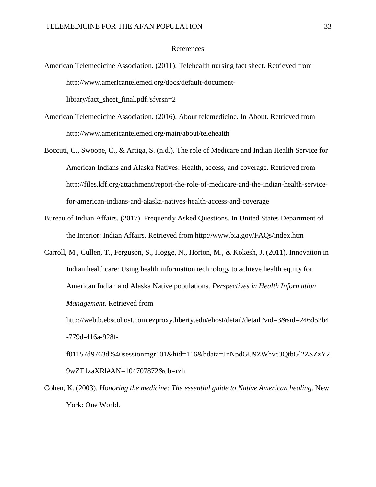### References

American Telemedicine Association. (2011). Telehealth nursing fact sheet. Retrieved from http://www.americantelemed.org/docs/default-document-

library/fact\_sheet\_final.pdf?sfvrsn=2

- American Telemedicine Association. (2016). About telemedicine. In About*.* Retrieved from http://www.americantelemed.org/main/about/telehealth
- Boccuti, C., Swoope, C., & Artiga, S. (n.d.). The role of Medicare and Indian Health Service for American Indians and Alaska Natives: Health, access, and coverage. Retrieved from http://files.kff.org/attachment/report-the-role-of-medicare-and-the-indian-health-servicefor-american-indians-and-alaska-natives-health-access-and-coverage
- Bureau of Indian Affairs. (2017). Frequently Asked Questions. In United States Department of the Interior: Indian Affairs*.* Retrieved from http://www.bia.gov/FAQs/index.htm
- Carroll, M., Cullen, T., Ferguson, S., Hogge, N., Horton, M., & Kokesh, J. (2011). Innovation in Indian healthcare: Using health information technology to achieve health equity for American Indian and Alaska Native populations. *Perspectives in Health Information Management*. Retrieved from

http://web.b.ebscohost.com.ezproxy.liberty.edu/ehost/detail/detail?vid=3&sid=246d52b4 -779d-416a-928f-

f01157d9763d%40sessionmgr101&hid=116&bdata=JnNpdGU9ZWhvc3QtbGl2ZSZzY2 9wZT1zaXRl#AN=104707872&db=rzh

Cohen, K. (2003). *Honoring the medicine: The essential guide to Native American healing*. New York: One World.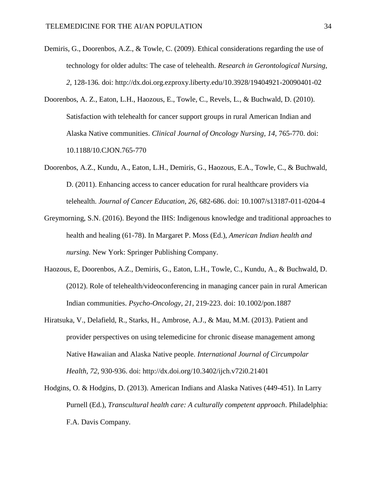- Demiris, G., Doorenbos, A.Z., & Towle, C. (2009). Ethical considerations regarding the use of technology for older adults: The case of telehealth. *Research in Gerontological Nursing, 2,* 128-136*.* doi: http://dx.doi.org.ezproxy.liberty.edu/10.3928/19404921-20090401-02
- Doorenbos, A. Z., Eaton, L.H., Haozous, E., Towle, C., Revels, L., & Buchwald, D. (2010). Satisfaction with telehealth for cancer support groups in rural American Indian and Alaska Native communities. *Clinical Journal of Oncology Nursing, 14,* 765-770. doi: 10.1188/10.CJON.765-770
- Doorenbos, A.Z., Kundu, A., Eaton, L.H., Demiris, G., Haozous, E.A., Towle, C., & Buchwald, D. (2011). Enhancing access to cancer education for rural healthcare providers via telehealth. *Journal of Cancer Education, 26,* 682-686. doi: 10.1007/s13187-011-0204-4
- Greymorning, S.N. (2016). Beyond the IHS: Indigenous knowledge and traditional approaches to health and healing (61-78). In Margaret P. Moss (Ed.), *American Indian health and nursing.* New York: Springer Publishing Company.
- Haozous, E, Doorenbos, A.Z., Demiris, G., Eaton, L.H., Towle, C., Kundu, A., & Buchwald, D. (2012). Role of telehealth/videoconferencing in managing cancer pain in rural American Indian communities. *Psycho-Oncology, 21,* 219-223. doi: 10.1002/pon.1887
- Hiratsuka, V., Delafield, R., Starks, H., Ambrose, A.J., & Mau, M.M. (2013). Patient and provider perspectives on using telemedicine for chronic disease management among Native Hawaiian and Alaska Native people. *International Journal of Circumpolar Health, 72,* 930-936. doi: http://dx.doi.org/10.3402/ijch.v72i0.21401
- Hodgins, O. & Hodgins, D. (2013). American Indians and Alaska Natives (449-451). In Larry Purnell (Ed.), *Transcultural health care: A culturally competent approach*. Philadelphia: F.A. Davis Company.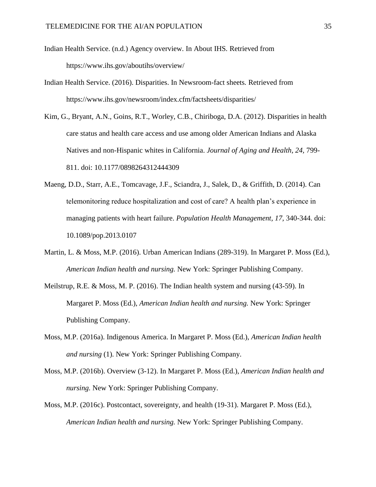- Indian Health Service. (n.d.) Agency overview. In About IHS*.* Retrieved from https://www.ihs.gov/aboutihs/overview/
- Indian Health Service. (2016). Disparities. In Newsroom-fact sheets*.* Retrieved from https://www.ihs.gov/newsroom/index.cfm/factsheets/disparities/
- Kim, G., Bryant, A.N., Goins, R.T., Worley, C.B., Chiriboga, D.A. (2012). Disparities in health care status and health care access and use among older American Indians and Alaska Natives and non-Hispanic whites in California. *Journal of Aging and Health, 24,* 799- 811. doi: 10.1177/0898264312444309
- Maeng, D.D., Starr, A.E., Tomcavage, J.F., Sciandra, J., Salek, D., & Griffith, D. (2014). Can telemonitoring reduce hospitalization and cost of care? A health plan's experience in managing patients with heart failure. *Population Health Management, 17,* 340-344. doi: 10.1089/pop.2013.0107
- Martin, L. & Moss, M.P. (2016). Urban American Indians (289-319). In Margaret P. Moss (Ed.), *American Indian health and nursing.* New York: Springer Publishing Company.
- Meilstrup, R.E. & Moss, M. P. (2016). The Indian health system and nursing (43-59). In Margaret P. Moss (Ed.), *American Indian health and nursing.* New York: Springer Publishing Company.
- Moss, M.P. (2016a). Indigenous America. In Margaret P. Moss (Ed.), *American Indian health and nursing* (1). New York: Springer Publishing Company.
- Moss, M.P. (2016b). Overview (3-12). In Margaret P. Moss (Ed.), *American Indian health and nursing.* New York: Springer Publishing Company.
- Moss, M.P. (2016c). Postcontact, sovereignty, and health (19-31). Margaret P. Moss (Ed.), *American Indian health and nursing.* New York: Springer Publishing Company.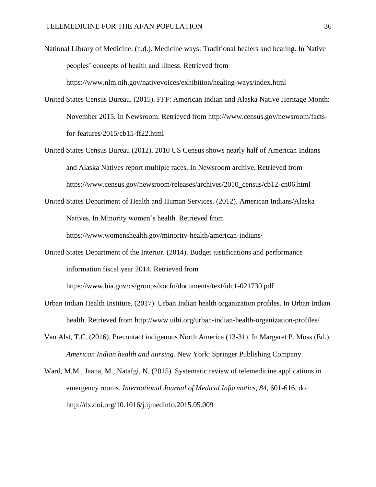National Library of Medicine. (n.d.). Medicine ways: Traditional healers and healing. In Native peoples' concepts of health and illness. Retrieved from https://www.nlm.nih.gov/nativevoices/exhibition/healing-ways/index.html

- United States Census Bureau. (2015). FFF: American Indian and Alaska Native Heritage Month: November 2015. In Newsroom. Retrieved from http://www.census.gov/newsroom/factsfor-features/2015/cb15-ff22.html
- United States Census Bureau (2012). 2010 US Census shows nearly half of American Indians and Alaska Natives report multiple races. In Newsroom archive*.* Retrieved from https://www.census.gov/newsroom/releases/archives/2010\_census/cb12-cn06.html
- United States Department of Health and Human Services. (2012). American Indians/Alaska Natives. In Minority women's health*.* Retrieved from https://www.womenshealth.gov/minority-health/american-indians/
- United States Department of the Interior. (2014). Budget justifications and performance information fiscal year 2014*.* Retrieved from

https://www.bia.gov/cs/groups/xocfo/documents/text/idc1-021730.pdf

- Urban Indian Health Institute. (2017). Urban Indian health organization profiles. In Urban Indian health. Retrieved from http://www.uihi.org/urban-indian-health-organization-profiles/
- Van Alst, T.C. (2016). Precontact indigenous North America (13-31). In Margaret P. Moss (Ed.), *American Indian health and nursing.* New York: Springer Publishing Company.
- Ward, M.M., Jaana, M., Natafgi, N. (2015). Systematic review of telemedicine applications in emergency rooms. *International Journal of Medical Informatics, 84,* 601-616. doi: http://dx.doi.org/10.1016/j.ijmedinfo.2015.05.009